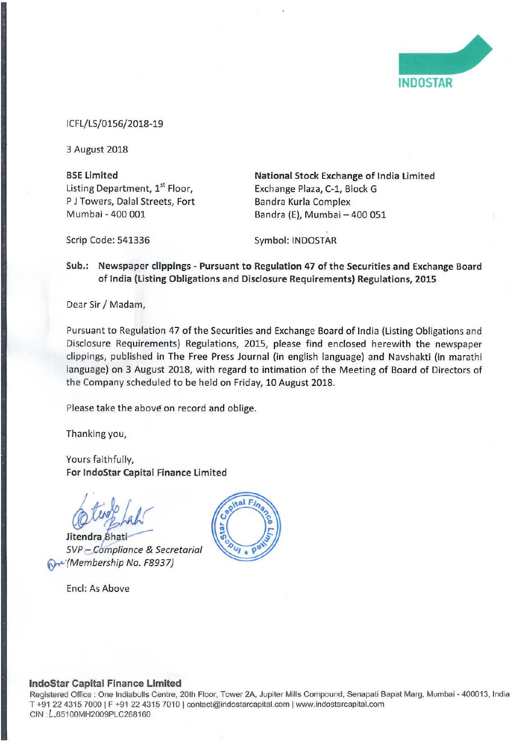

|CFL/LS/0156/2018»19

<sup>3</sup> August 2018

P J Towers, Dalal Streets, Fort Mumbai -

BSE Limited<br>
Listing Department, 1<sup>st</sup> Floor, **National Stock Exchange of India Limited**<br>
Exchange Plaza, C-1, Block G Exchange Plaza, C-1, Block G<br>Bandra Kurla Complex Bandra (E), Mumbai - 400 051

Scrip Code: 541336 Symbol: INDOSTAR

## Sub.: Newspaper clippings - Pursuant to Regulation 47 of the Securities and Exchange Board of India (Listing Obligations and Disclosure Requirements) Regulations, 2015

Dear Sir / Madam,

Pursuant to Regulation 47 of the Securities and Exchange Board of India (Listing Obligations and Disclosure Requirements) Regulations, 2015, please find enclosed herewith the newspaper clippings, published in The Free Press Journal (in english language) and Navshakti (in marathi language) on <sup>3</sup> August 2018, with regard to intimation of the Meeting of Board of Directors of the Company scheduled to be held on Friday, 10 August 2018.

Please take the above on record and oblige.

Thanking you,

Yours faithfully, For lndoStar Capital Finance Limited

,/  $hat$ 

Jitendra Bhati SVP - Compliance & Secretarial 0.» {Membership No, F8937)

Encl: As Above



## lndoStar Capital Finance Limited

Registered Office : One Indiabulls Centre, 20th Floor, Tower 2A. Jupiter Miils Compound. Senapati Bapat Marg, Mumbai 400013, India T +91 22 4315 7000 <sup>i</sup> <sup>F</sup> +91 22 4315 7010 <sup>l</sup> contact@indostarcapital.com <sup>|</sup> www.indostarcapita|.com CIN : L65100MH2009PLC268160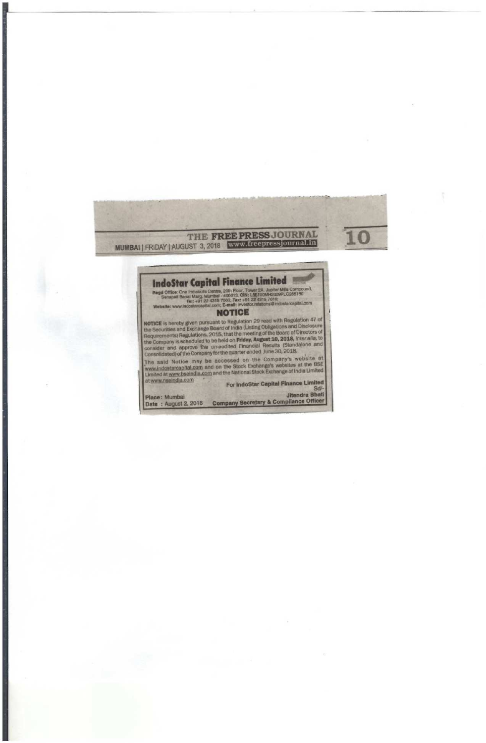